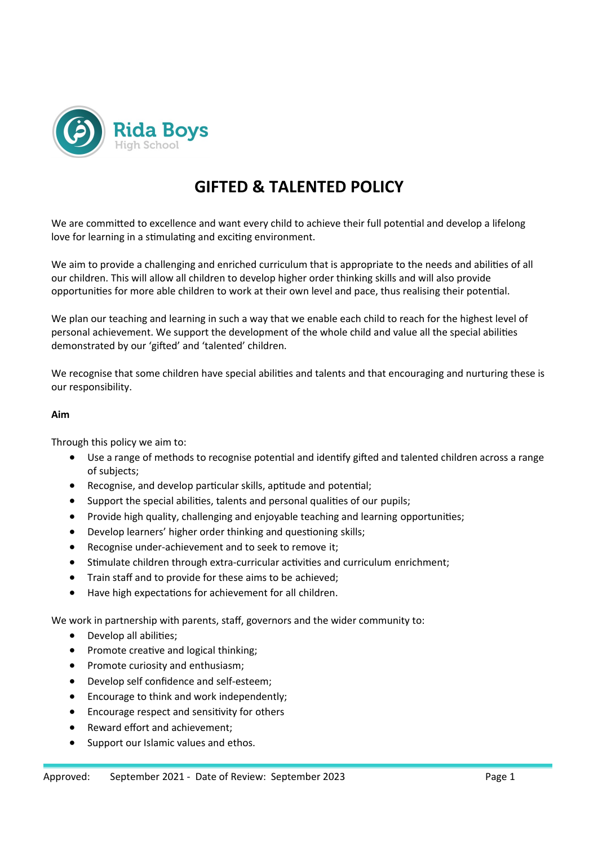

# **GIFTED & TALENTED POLICY**

We are committed to excellence and want every child to achieve their full potential and develop a lifelong love for learning in a stimulating and exciting environment.

We aim to provide a challenging and enriched curriculum that is appropriate to the needs and abilities of all our children. This will allow all children to develop higher order thinking skills and will also provide opportunities for more able children to work at their own level and pace, thus realising their potential.

We plan our teaching and learning in such a way that we enable each child to reach for the highest level of personal achievement. We support the development of the whole child and value all the special abilities demonstrated by our 'gifted' and 'talented' children.

We recognise that some children have special abilities and talents and that encouraging and nurturing these is our responsibility.

#### **Aim**

Through this policy we aim to:

- Use a range of methods to recognise potential and identify gifted and talented children across a range of subjects;
- Recognise, and develop particular skills, aptitude and potential;
- Support the special abilities, talents and personal qualities of our pupils;
- Provide high quality, challenging and enjoyable teaching and learning opportunities;
- Develop learners' higher order thinking and questioning skills;
- Recognise under-achievement and to seek to remove it;
- Stimulate children through extra-curricular activities and curriculum enrichment;
- Train staff and to provide for these aims to be achieved;
- Have high expectations for achievement for all children.

We work in partnership with parents, staff, governors and the wider community to:

- Develop all abilities:
- Promote creative and logical thinking;
- Promote curiosity and enthusiasm;
- Develop self confidence and self-esteem;
- Encourage to think and work independently;
- Encourage respect and sensitivity for others
- Reward effort and achievement;
- Support our Islamic values and ethos.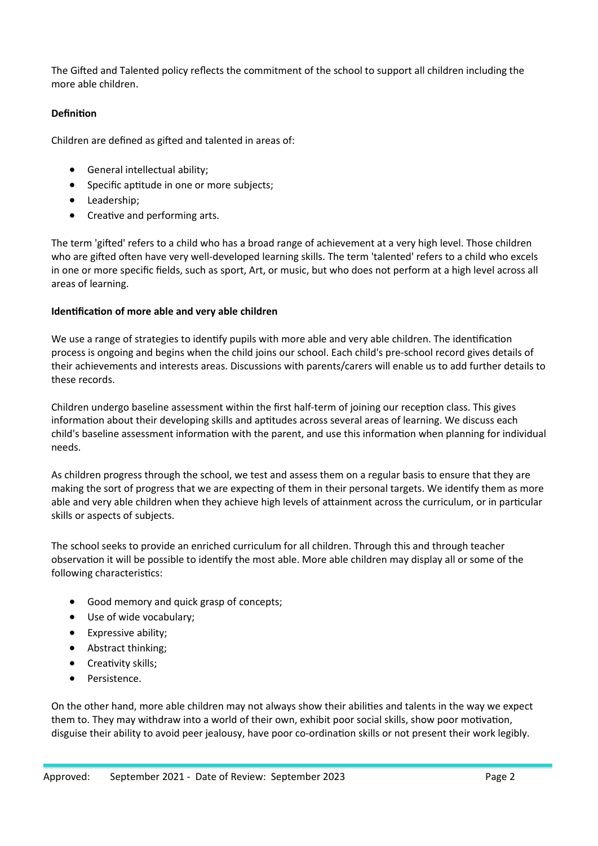The Gifted and Talented policy reflects the commitment of the school to support all children including the more able children.

## **Definition**

Children are defined as gifted and talented in areas of:

- General intellectual ability;
- Specific aptitude in one or more subjects;
- Leadership;
- Creative and performing arts.

The term 'gifted' refers to a child who has a broad range of achievement at a very high level. Those children who are gifted often have very well-developed learning skills. The term 'talented' refers to a child who excels in one or more specific fields, such as sport, Art, or music, but who does not perform at a high level across all areas of learning.

## **Identification of more able and very able children**

We use a range of strategies to identify pupils with more able and very able children. The identification process is ongoing and begins when the child joins our school. Each child's pre-school record gives details of their achievements and interests areas. Discussions with parents/carers will enable us to add further details to these records.

Children undergo baseline assessment within the first half-term of joining our reception class. This gives information about their developing skills and aptitudes across several areas of learning. We discuss each child's baseline assessment information with the parent, and use this information when planning for individual needs.

As children progress through the school, we test and assess them on a regular basis to ensure that they are making the sort of progress that we are expecting of them in their personal targets. We identify them as more able and very able children when they achieve high levels of attainment across the curriculum, or in particular skills or aspects of subjects.

The school seeks to provide an enriched curriculum for all children. Through this and through teacher observation it will be possible to identify the most able. More able children may display all or some of the following characteristics:

- Good memory and quick grasp of concepts;
- Use of wide vocabulary;
- Expressive ability;
- Abstract thinking;
- Creativity skills;
- Persistence.

On the other hand, more able children may not always show their abilities and talents in the way we expect them to. They may withdraw into a world of their own, exhibit poor social skills, show poor motivation, disguise their ability to avoid peer jealousy, have poor co-ordination skills or not present their work legibly.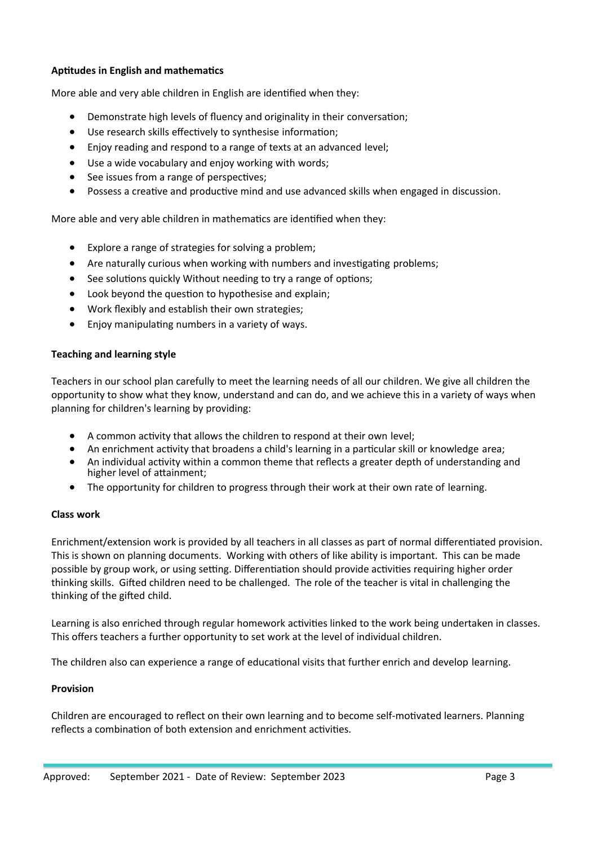## **Aptitudes in English and mathematics**

More able and very able children in English are identified when they:

- Demonstrate high levels of fluency and originality in their conversation;
- Use research skills effectively to synthesise information;
- Enjoy reading and respond to a range of texts at an advanced level;
- Use a wide vocabulary and enjoy working with words;
- See issues from a range of perspectives;
- Possess a creative and productive mind and use advanced skills when engaged in discussion.

More able and very able children in mathematics are identified when they:

- Explore a range of strategies for solving a problem;
- Are naturally curious when working with numbers and investigating problems;
- See solutions quickly Without needing to try a range of options;
- Look beyond the question to hypothesise and explain;
- Work flexibly and establish their own strategies;
- Enjoy manipulating numbers in a variety of ways.

## **Teaching and learning style**

Teachers in our school plan carefully to meet the learning needs of all our children. We give all children the opportunity to show what they know, understand and can do, and we achieve this in a variety of ways when planning for children's learning by providing:

- A common activity that allows the children to respond at their own level;
- An enrichment activity that broadens a child's learning in a particular skill or knowledge area;
- An individual activity within a common theme that reflects a greater depth of understanding and higher level of attainment;
- The opportunity for children to progress through their work at their own rate of learning.

# **Class work**

Enrichment/extension work is provided by all teachers in all classes as part of normal differentiated provision. This is shown on planning documents. Working with others of like ability is important. This can be made possible by group work, or using setting. Differentiation should provide activities requiring higher order thinking skills. Gifted children need to be challenged. The role of the teacher is vital in challenging the thinking of the gifted child.

Learning is also enriched through regular homework activities linked to the work being undertaken in classes. This offers teachers a further opportunity to set work at the level of individual children.

The children also can experience a range of educational visits that further enrich and develop learning.

# **Provision**

Children are encouraged to reflect on their own learning and to become self-motivated learners. Planning reflects a combination of both extension and enrichment activities.